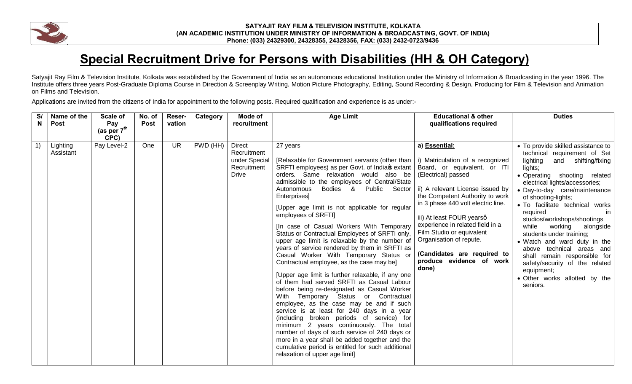

## **SATYAJIT RAY FILM & TELEVISION INSTITUTE, KOLKATA (AN ACADEMIC INSTITUTION UNDER MINISTRY OF INFORMATION & BROADCASTING, GOVT. OF INDIA) Phone: (033) 24329300, 24328355, 24328356, FAX: (033) 2432-0723/9436**

## **Special Recruitment Drive for Persons with Disabilities (HH & OH Category)**

Satyajit Ray Film & Television Institute, Kolkata was established by the Government of India as an autonomous educational Institution under the Ministry of Information & Broadcasting in the year 1996. The Institute offers three years Post-Graduate Diploma Course in Direction & Screenplay Writing, Motion Picture Photography, Editing, Sound Recording & Design, Producing for Film & Television and Animation on Films and Television.

Applications are invited from the citizens of India for appointment to the following posts. Required qualification and experience is as under:-

| S/ | Name of the           | Scale of                        | No. of      | Reser-                   | Category | Mode of                                                                      | <b>Age Limit</b>                                                                                                                                                                                                                                                                                                                                                                                                                                                                                                                                                                                                                                                                                                                                                                                                                                                                                                                                                                                                                                                                                                                                                                                                                             | <b>Educational &amp; other</b>                                                                                                                                                                                                                                                                                                                                                 | <b>Duties</b>                                                                                                                                                                                                                                                                                                                                                                                                                                                                                                                                                                             |
|----|-----------------------|---------------------------------|-------------|--------------------------|----------|------------------------------------------------------------------------------|----------------------------------------------------------------------------------------------------------------------------------------------------------------------------------------------------------------------------------------------------------------------------------------------------------------------------------------------------------------------------------------------------------------------------------------------------------------------------------------------------------------------------------------------------------------------------------------------------------------------------------------------------------------------------------------------------------------------------------------------------------------------------------------------------------------------------------------------------------------------------------------------------------------------------------------------------------------------------------------------------------------------------------------------------------------------------------------------------------------------------------------------------------------------------------------------------------------------------------------------|--------------------------------------------------------------------------------------------------------------------------------------------------------------------------------------------------------------------------------------------------------------------------------------------------------------------------------------------------------------------------------|-------------------------------------------------------------------------------------------------------------------------------------------------------------------------------------------------------------------------------------------------------------------------------------------------------------------------------------------------------------------------------------------------------------------------------------------------------------------------------------------------------------------------------------------------------------------------------------------|
| N  | <b>Post</b>           | Pay                             | <b>Post</b> | vation                   |          | recruitment                                                                  |                                                                                                                                                                                                                                                                                                                                                                                                                                                                                                                                                                                                                                                                                                                                                                                                                                                                                                                                                                                                                                                                                                                                                                                                                                              | qualifications required                                                                                                                                                                                                                                                                                                                                                        |                                                                                                                                                                                                                                                                                                                                                                                                                                                                                                                                                                                           |
|    |                       | (as per $7^{\text{th}}$<br>CPC) |             |                          |          |                                                                              |                                                                                                                                                                                                                                                                                                                                                                                                                                                                                                                                                                                                                                                                                                                                                                                                                                                                                                                                                                                                                                                                                                                                                                                                                                              |                                                                                                                                                                                                                                                                                                                                                                                |                                                                                                                                                                                                                                                                                                                                                                                                                                                                                                                                                                                           |
| 1) | Lighting<br>Assistant | Pay Level-2                     | One         | $\overline{\mathsf{UR}}$ | PWD (HH) | <b>Direct</b><br>Recruitment<br>under Special<br>Recruitment<br><b>Drive</b> | 27 years<br>[Relaxable for Government servants (other than $\vert$ i) Matriculation of a recognized<br>SRFTI employees) as per Govt. of Indiac extant<br>orders. Same relaxation would also be<br>admissible to the employees of Central/State<br>Bodies & Public Sector<br>Autonomous<br>Enterprises]<br>[Upper age limit is not applicable for regular<br>employees of SRFTI]<br>[In case of Casual Workers With Temporary<br>Status or Contractual Employees of SRFTI only,<br>upper age limit is relaxable by the number of<br>years of service rendered by them in SRFTI as<br>Casual Worker With Temporary Status or<br>Contractual employee, as the case may be]<br>[Upper age limit is further relaxable, if any one<br>of them had served SRFTI as Casual Labour<br>before being re-designated as Casual Worker<br>With Temporary Status or Contractual<br>employee, as the case may be and if such<br>service is at least for 240 days in a year<br>(including broken periods of service) for<br>minimum 2 years continuously. The total<br>number of days of such service of 240 days or<br>more in a year shall be added together and the<br>cumulative period is entitled for such additional<br>relaxation of upper age limit] | a) Essential:<br>Board, or equivalent, or ITI<br>(Electrical) passed<br>ii) A relevant License issued by<br>the Competent Authority to work<br>in 3 phase 440 volt electric line.<br>iii) At least FOUR yearsq<br>experience in related field in a<br>Film Studio or equivalent<br>Organisation of repute.<br>(Candidates are required to<br>produce evidence of work<br>done) | • To provide skilled assistance to<br>technical requirement of Set<br>lighting<br>shifting/fixing<br>and<br>lights;<br>· Operating shooting related<br>electrical lights/accessories;<br>• Day-to-day care/maintenance<br>of shooting-lights;<br>• To facilitate technical works<br>required<br>in.<br>studios/workshops/shootings<br>while<br>working<br>alongside<br>students under training;<br>• Watch and ward duty in the<br>above technical areas and<br>shall remain responsible for<br>safety/security of the related<br>equipment;<br>· Other works allotted by the<br>seniors. |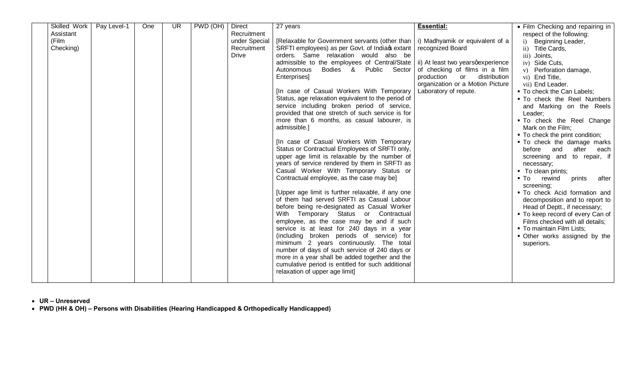| Pay Level-1<br>Recruitment<br>Assistant<br>(Film<br>[Relaxable for Government servants (other than   i) Madhyamik or equivalent of a<br>under Special<br>Checking)<br>SRFTI employees) as per Govt. of Indiac extant   recognized Board<br>Recruitment<br>orders. Same relaxation would also be<br>Drive<br>admissible to the employees of Central/State $\vert$ ii) At least two years querelence | • Film Checking and repairing in<br>respect of the following:<br>i) Beginning Leader,<br>ii) Title Cards,<br>iii) Joints,<br>iv) Side Cuts,<br>v) Perforation damage,<br>vi) End Title,<br>vii) End Leader. |
|----------------------------------------------------------------------------------------------------------------------------------------------------------------------------------------------------------------------------------------------------------------------------------------------------------------------------------------------------------------------------------------------------|-------------------------------------------------------------------------------------------------------------------------------------------------------------------------------------------------------------|
|                                                                                                                                                                                                                                                                                                                                                                                                    |                                                                                                                                                                                                             |
|                                                                                                                                                                                                                                                                                                                                                                                                    |                                                                                                                                                                                                             |
|                                                                                                                                                                                                                                                                                                                                                                                                    |                                                                                                                                                                                                             |
|                                                                                                                                                                                                                                                                                                                                                                                                    |                                                                                                                                                                                                             |
|                                                                                                                                                                                                                                                                                                                                                                                                    |                                                                                                                                                                                                             |
| Bodies &<br>Public Sector<br>of checking of films in a film<br>Autonomous                                                                                                                                                                                                                                                                                                                          |                                                                                                                                                                                                             |
| Enterprises]<br>production<br>distribution<br>or                                                                                                                                                                                                                                                                                                                                                   |                                                                                                                                                                                                             |
| organization or a Motion Picture                                                                                                                                                                                                                                                                                                                                                                   |                                                                                                                                                                                                             |
| [In case of Casual Workers With Temporary<br>Laboratory of repute.                                                                                                                                                                                                                                                                                                                                 | • To check the Can Labels;                                                                                                                                                                                  |
| Status, age relaxation equivalent to the period of                                                                                                                                                                                                                                                                                                                                                 | . To check the Reel Numbers                                                                                                                                                                                 |
| service including broken period of service,                                                                                                                                                                                                                                                                                                                                                        | and Marking on the Reels                                                                                                                                                                                    |
| provided that one stretch of such service is for                                                                                                                                                                                                                                                                                                                                                   | Leader;                                                                                                                                                                                                     |
| more than 6 months, as casual labourer, is<br>admissible.]                                                                                                                                                                                                                                                                                                                                         | . To check the Reel Change                                                                                                                                                                                  |
|                                                                                                                                                                                                                                                                                                                                                                                                    | Mark on the Film;                                                                                                                                                                                           |
| [In case of Casual Workers With Temporary                                                                                                                                                                                                                                                                                                                                                          | • To check the print condition;<br>• To check the damage marks                                                                                                                                              |
| Status or Contractual Employees of SRFTI only,                                                                                                                                                                                                                                                                                                                                                     | before<br>and<br>after<br>each                                                                                                                                                                              |
| upper age limit is relaxable by the number of                                                                                                                                                                                                                                                                                                                                                      | screening and to repair, if                                                                                                                                                                                 |
| years of service rendered by them in SRFTI as                                                                                                                                                                                                                                                                                                                                                      | necessary;                                                                                                                                                                                                  |
| Casual Worker With Temporary Status or                                                                                                                                                                                                                                                                                                                                                             | ■ To clean prints;                                                                                                                                                                                          |
| Contractual employee, as the case may be]                                                                                                                                                                                                                                                                                                                                                          | ■ To rewind<br>prints<br>after                                                                                                                                                                              |
|                                                                                                                                                                                                                                                                                                                                                                                                    | screening;                                                                                                                                                                                                  |
| [Upper age limit is further relaxable, if any one                                                                                                                                                                                                                                                                                                                                                  | . To check Acid formation and                                                                                                                                                                               |
| of them had served SRFTI as Casual Labour                                                                                                                                                                                                                                                                                                                                                          | decomposition and to report to                                                                                                                                                                              |
| before being re-designated as Casual Worker                                                                                                                                                                                                                                                                                                                                                        | Head of Deptt., if necessary;                                                                                                                                                                               |
| With Temporary Status or Contractual                                                                                                                                                                                                                                                                                                                                                               | • To keep record of every Can of                                                                                                                                                                            |
| employee, as the case may be and if such                                                                                                                                                                                                                                                                                                                                                           | Films checked with all details;                                                                                                                                                                             |
| service is at least for 240 days in a year                                                                                                                                                                                                                                                                                                                                                         | • To maintain Film Lists;                                                                                                                                                                                   |
| (including broken periods of service) for                                                                                                                                                                                                                                                                                                                                                          | • Other works assigned by the                                                                                                                                                                               |
| minimum 2 years continuously. The total                                                                                                                                                                                                                                                                                                                                                            | superiors.                                                                                                                                                                                                  |
| number of days of such service of 240 days or                                                                                                                                                                                                                                                                                                                                                      |                                                                                                                                                                                                             |
| more in a year shall be added together and the                                                                                                                                                                                                                                                                                                                                                     |                                                                                                                                                                                                             |
| cumulative period is entitled for such additional<br>relaxation of upper age limit]                                                                                                                                                                                                                                                                                                                |                                                                                                                                                                                                             |
|                                                                                                                                                                                                                                                                                                                                                                                                    |                                                                                                                                                                                                             |

· **UR – Unreserved** 

· **PWD (HH & OH) – Persons with Disabilities (Hearing Handicapped & Orthopedically Handicapped)**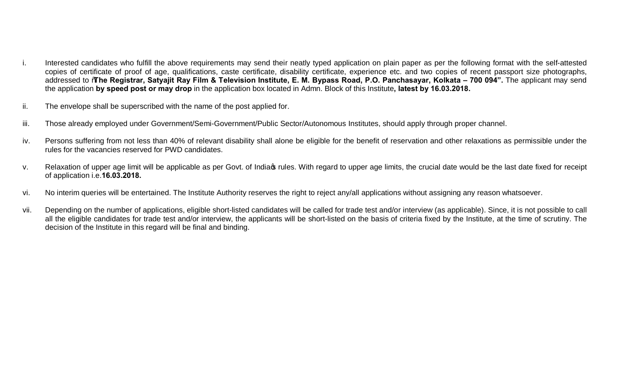- i. Interested candidates who fulfill the above requirements may send their neatly typed application on plain paper as per the following format with the self-attested copies of certificate of proof of age, qualifications, caste certificate, disability certificate, experience etc. and two copies of recent passport size photographs, addressed to "**The Registrar, Satyajit Ray Film & Television Institute, E. M. Bypass Road, P.O. Panchasayar, Kolkata – 700 094".** The applicant may send the application **by speed post or may drop** in the application box located in Admn. Block of this Institute**, latest by 16.03.2018.**
- ii. The envelope shall be superscribed with the name of the post applied for.
- iii. Those already employed under Government/Semi-Government/Public Sector/Autonomous Institutes, should apply through proper channel.
- iv. Persons suffering from not less than 40% of relevant disability shall alone be eligible for the benefit of reservation and other relaxations as permissible under the rules for the vacancies reserved for PWD candidates.
- v. Relaxation of upper age limit will be applicable as per Govt. of India rules. With regard to upper age limits, the crucial date would be the last date fixed for receipt of application i.e.**16.03.2018.**
- vi. No interim queries will be entertained. The Institute Authority reserves the right to reject any/all applications without assigning any reason whatsoever.
- vii. Depending on the number of applications, eligible short-listed candidates will be called for trade test and/or interview (as applicable). Since, it is not possible to call all the eligible candidates for trade test and/or interview, the applicants will be short-listed on the basis of criteria fixed by the Institute, at the time of scrutiny. The decision of the Institute in this regard will be final and binding.